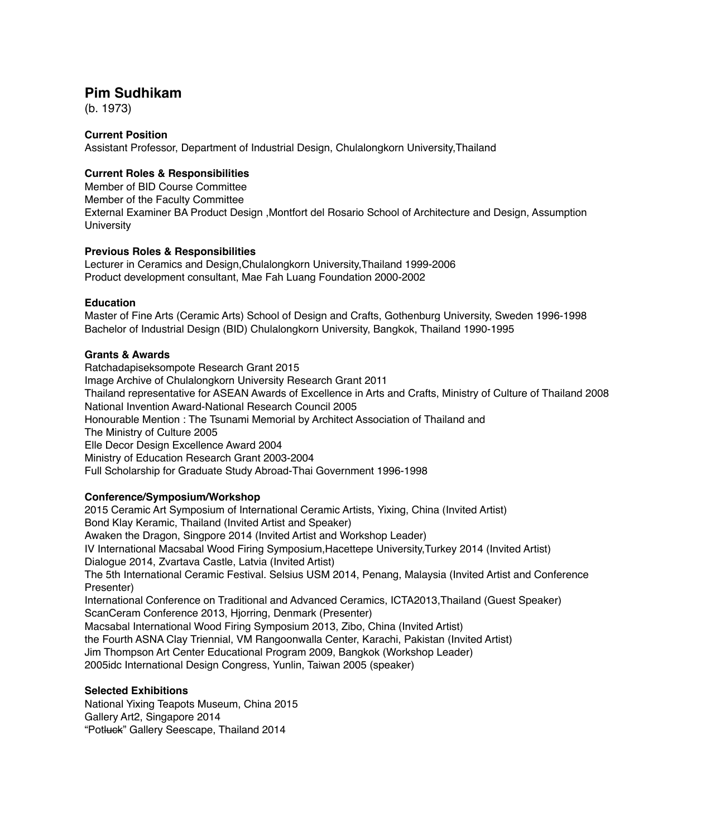## **Pim Sudhikam**

(b. 1973)

#### **Current Position**

Assistant Professor, Department of Industrial Design, Chulalongkorn University,Thailand

### **Current Roles & Responsibilities**

Member of BID Course Committee Member of the Faculty Committee External Examiner BA Product Design ,Montfort del Rosario School of Architecture and Design, Assumption University

#### **Previous Roles & Responsibilities**

Lecturer in Ceramics and Design,Chulalongkorn University,Thailand 1999-2006 Product development consultant, Mae Fah Luang Foundation 2000-2002

#### **Education**

Master of Fine Arts (Ceramic Arts) School of Design and Crafts, Gothenburg University, Sweden 1996-1998 Bachelor of Industrial Design (BID) Chulalongkorn University, Bangkok, Thailand 1990-1995

#### **Grants & Awards**

Ratchadapiseksompote Research Grant 2015 Image Archive of Chulalongkorn University Research Grant 2011 Thailand representative for ASEAN Awards of Excellence in Arts and Crafts, Ministry of Culture of Thailand 2008 National Invention Award-National Research Council 2005 Honourable Mention : The Tsunami Memorial by Architect Association of Thailand and The Ministry of Culture 2005 Elle Decor Design Excellence Award 2004 Ministry of Education Research Grant 2003-2004 Full Scholarship for Graduate Study Abroad-Thai Government 1996-1998

#### **Conference/Symposium/Workshop**

2015 Ceramic Art Symposium of International Ceramic Artists, Yixing, China (Invited Artist) Bond Klay Keramic, Thailand (Invited Artist and Speaker) Awaken the Dragon, Singpore 2014 (Invited Artist and Workshop Leader) IV International Macsabal Wood Firing Symposium,Hacettepe University,Turkey 2014 (Invited Artist) Dialogue 2014, Zvartava Castle, Latvia (Invited Artist) The 5th International Ceramic Festival. Selsius USM 2014, Penang, Malaysia (Invited Artist and Conference Presenter) International Conference on Traditional and Advanced Ceramics, ICTA2013,Thailand (Guest Speaker) ScanCeram Conference 2013, Hjorring, Denmark (Presenter) Macsabal International Wood Firing Symposium 2013, Zibo, China (Invited Artist) the Fourth ASNA Clay Triennial, VM Rangoonwalla Center, Karachi, Pakistan (Invited Artist) Jim Thompson Art Center Educational Program 2009, Bangkok (Workshop Leader) 2005idc International Design Congress, Yunlin, Taiwan 2005 (speaker)

#### **Selected Exhibitions**

National Yixing Teapots Museum, China 2015 Gallery Art2, Singapore 2014 "Potluck" Gallery Seescape, Thailand 2014